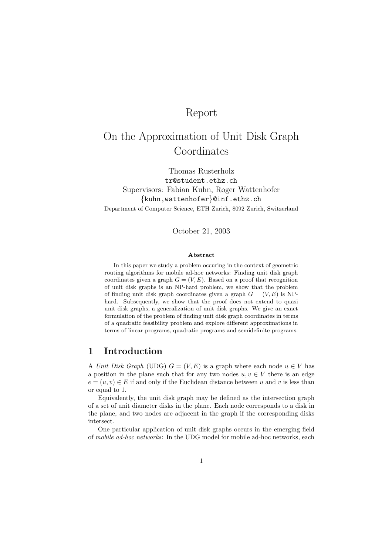# Report

# On the Approximation of Unit Disk Graph Coordinates

Thomas Rusterholz tr@student.ethz.ch Supervisors: Fabian Kuhn, Roger Wattenhofer {kuhn,wattenhofer}@inf.ethz.ch Department of Computer Science, ETH Zurich, 8092 Zurich, Switzerland

October 21, 2003

#### Abstract

In this paper we study a problem occuring in the context of geometric routing algorithms for mobile ad-hoc networks: Finding unit disk graph coordinates given a graph  $G = (V, E)$ . Based on a proof that recognition of unit disk graphs is an NP-hard problem, we show that the problem of finding unit disk graph coordinates given a graph  $G = (V, E)$  is NPhard. Subsequently, we show that the proof does not extend to quasi unit disk graphs, a generalization of unit disk graphs. We give an exact formulation of the problem of finding unit disk graph coordinates in terms of a quadratic feasibility problem and explore different approximations in terms of linear programs, quadratic programs and semidefinite programs.

### 1 Introduction

A Unit Disk Graph (UDG)  $G = (V, E)$  is a graph where each node  $u \in V$  has a position in the plane such that for any two nodes  $u, v \in V$  there is an edge  $e = (u, v) \in E$  if and only if the Euclidean distance between u and v is less than or equal to 1.

Equivalently, the unit disk graph may be defined as the intersection graph of a set of unit diameter disks in the plane. Each node corresponds to a disk in the plane, and two nodes are adjacent in the graph if the corresponding disks intersect.

One particular application of unit disk graphs occurs in the emerging field of mobile ad-hoc networks: In the UDG model for mobile ad-hoc networks, each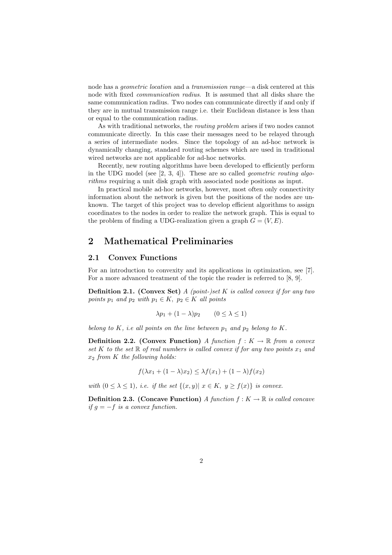node has a geometric location and a transmission range—a disk centered at this node with fixed communication radius. It is assumed that all disks share the same communication radius. Two nodes can communicate directly if and only if they are in mutual transmission range i.e. their Euclidean distance is less than or equal to the communication radius.

As with traditional networks, the routing problem arises if two nodes cannot communicate directly. In this case their messages need to be relayed through a series of intermediate nodes. Since the topology of an ad-hoc network is dynamically changing, standard routing schemes which are used in traditional wired networks are not applicable for ad-hoc networks.

Recently, new routing algorithms have been developed to efficiently perform in the UDG model (see  $[2, 3, 4]$ ). These are so called *geometric routing algo*rithms requiring a unit disk graph with associated node positions as input.

In practical mobile ad-hoc networks, however, most often only connectivity information about the network is given but the positions of the nodes are unknown. The target of this project was to develop efficient algorithms to assign coordinates to the nodes in order to realize the network graph. This is equal to the problem of finding a UDG-realization given a graph  $G = (V, E)$ .

## 2 Mathematical Preliminaries

### 2.1 Convex Functions

For an introduction to convexity and its applications in optimization, see [7]. For a more advanced treatment of the topic the reader is referred to [8, 9].

**Definition 2.1.** (Convex Set)  $A$  (point-)set  $K$  is called convex if for any two points  $p_1$  and  $p_2$  with  $p_1 \in K$ ,  $p_2 \in K$  all points

$$
\lambda p_1 + (1 - \lambda)p_2 \qquad (0 \le \lambda \le 1)
$$

belong to K, i.e all points on the line between  $p_1$  and  $p_2$  belong to K.

**Definition 2.2.** (Convex Function) A function  $f: K \to \mathbb{R}$  from a convex set K to the set R of real numbers is called convex if for any two points  $x_1$  and  $x_2$  from K the following holds:

$$
f(\lambda x_1 + (1 - \lambda)x_2) \leq \lambda f(x_1) + (1 - \lambda)f(x_2)
$$

with  $(0 \leq \lambda \leq 1)$ , i.e. if the set  $\{(x, y) | x \in K, y \geq f(x)\}\$ is convex.

**Definition 2.3.** (Concave Function) A function  $f: K \to \mathbb{R}$  is called concave if  $g = -f$  is a convex function.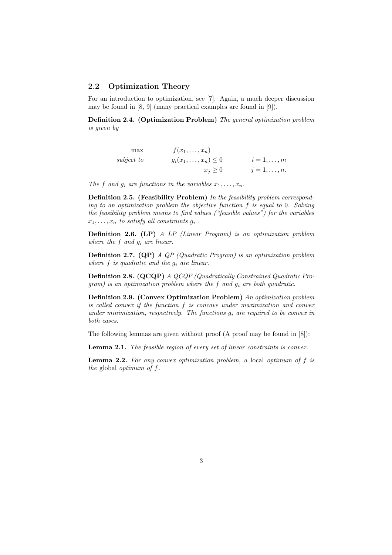### 2.2 Optimization Theory

For an introduction to optimization, see [7]. Again, a much deeper discussion may be found in [8, 9] (many practical examples are found in [9]).

Definition 2.4. (Optimization Problem) The general optimization problem is given by

|                 | $f(x_1,\ldots,x_n)$         | $\max$     |
|-----------------|-----------------------------|------------|
| $i=1,\ldots,m$  | $g_i(x_1,\ldots,x_n)\leq 0$ | subject to |
| $j=1,\ldots,n.$ | $x_i \geq 0$                |            |

The f and  $g_i$  are functions in the variables  $x_1, \ldots, x_n$ .

Definition 2.5. (Feasibility Problem) In the feasibility problem corresponding to an optimization problem the objective function f is equal to 0. Solving the feasibility problem means to find values ("feasible values") for the variables  $x_1, \ldots, x_n$  to satisfy all constraints  $g_i$ .

Definition 2.6. (LP) A LP (Linear Program) is an optimization problem where the f and  $q_i$  are linear.

Definition 2.7. (QP) A QP (Quadratic Program) is an optimization problem where  $f$  is quadratic and the  $g_i$  are linear.

Definition 2.8. (QCQP) A QCQP (Quadratically Constrained Quadratic Program) is an optimization problem where the f and  $g_i$  are both quadratic.

Definition 2.9. (Convex Optimization Problem) An optimization problem is called convex if the function f is concave under maximization and convex under minimization, respectively. The functions  $g_i$  are required to be convex in both cases.

The following lemmas are given without proof (A proof may be found in [8]):

Lemma 2.1. The feasible region of every set of linear constraints is convex.

Lemma 2.2. For any convex optimization problem, a local optimum of f is the global optimum of f.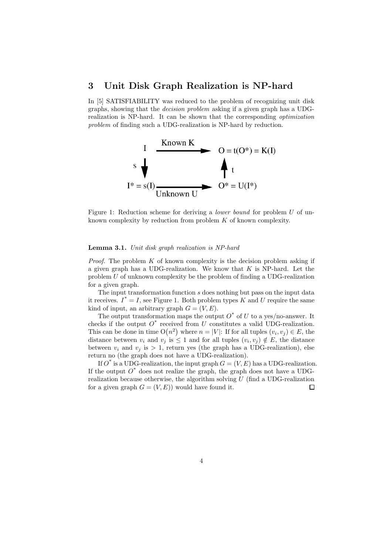### 3 Unit Disk Graph Realization is NP-hard

In [5] SATISFIABILITY was reduced to the problem of recognizing unit disk graphs, showing that the decision problem asking if a given graph has a UDGrealization is NP-hard. It can be shown that the corresponding optimization problem of finding such a UDG-realization is NP-hard by reduction.



Figure 1: Reduction scheme for deriving a *lower bound* for problem U of unknown complexity by reduction from problem K of known complexity.

#### Lemma 3.1. Unit disk graph realization is NP-hard

*Proof.* The problem  $K$  of known complexity is the decision problem asking if a given graph has a UDG-realization. We know that  $K$  is NP-hard. Let the problem U of unknown complexity be the problem of finding a UDG-realization for a given graph.

The input transformation function s does nothing but pass on the input data it receives.  $I^* = I$ , see Figure 1. Both problem types K and U require the same kind of input, an arbitrary graph  $G = (V, E)$ .

The output transformation maps the output  $O^*$  of U to a yes/no-answer. It checks if the output  $O^*$  received from U constitutes a valid UDG-realization. This can be done in time  $O(n^2)$  where  $n = |V|$ : If for all tuples  $(v_i, v_j) \in E$ , the distance between  $v_i$  and  $v_j$  is  $\leq 1$  and for all tuples  $(v_i, v_j) \notin E$ , the distance between  $v_i$  and  $v_j$  is  $> 1$ , return yes (the graph has a UDG-realization), else return no (the graph does not have a UDG-realization).

If  $O^*$  is a UDG-realization, the input graph  $G = (V, E)$  has a UDG-realization. If the output  $O^*$  does not realize the graph, the graph does not have a UDGrealization because otherwise, the algorithm solving  $U$  (find a UDG-realization for a given graph  $G = (V, E)$  would have found it.  $\Box$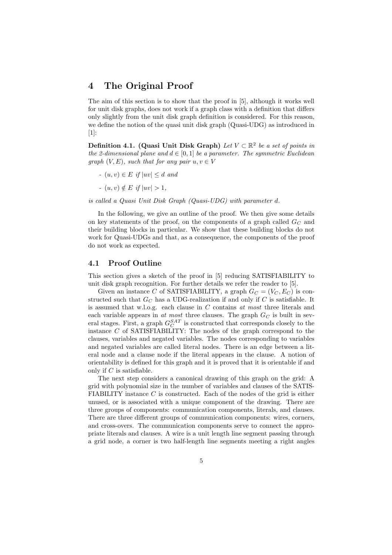### 4 The Original Proof

The aim of this section is to show that the proof in [5], although it works well for unit disk graphs, does not work if a graph class with a definition that differs only slightly from the unit disk graph definition is considered. For this reason, we define the notion of the quasi unit disk graph (Quasi-UDG) as introduced in [1]:

Definition 4.1. (Quasi Unit Disk Graph) Let  $V \subset \mathbb{R}^2$  be a set of points in the 2-dimensional plane and  $d \in [0, 1]$  be a parameter. The symmetric Euclidean graph  $(V, E)$ , such that for any pair  $u, v \in V$ 

- $(u, v) \in E$  if  $|uv| \leq d$  and
- $(u, v) \notin E$  if  $|uv| > 1$ ,

is called a Quasi Unit Disk Graph (Quasi-UDG) with parameter d.

In the following, we give an outline of the proof. We then give some details on key statements of the proof, on the components of a graph called  $G_C$  and their building blocks in particular. We show that these building blocks do not work for Quasi-UDGs and that, as a consequence, the components of the proof do not work as expected.

#### 4.1 Proof Outline

This section gives a sketch of the proof in [5] reducing SATISFIABILITY to unit disk graph recognition. For further details we refer the reader to [5].

Given an instance C of SATISFIABILITY, a graph  $G_C = (V_C, E_C)$  is constructed such that  $G_C$  has a UDG-realization if and only if C is satisfiable. It is assumed that w.l.o.g. each clause in  $C$  contains  $at$  most three literals and each variable appears in at most three clauses. The graph  $G_C$  is built in several stages. First, a graph  $G_C^{SAT}$  is constructed that corresponds closely to the instance  $C$  of SATISFIABILITY: The nodes of the graph correspond to the clauses, variables and negated variables. The nodes corresponding to variables and negated variables are called literal nodes. There is an edge between a literal node and a clause node if the literal appears in the clause. A notion of orientability is defined for this graph and it is proved that it is orientable if and only if  $C$  is satisfiable.

The next step considers a canonical drawing of this graph on the grid: A grid with polynomial size in the number of variables and clauses of the SATIS-FIABILITY instance  $C$  is constructed. Each of the nodes of the grid is either unused, or is associated with a unique component of the drawing. There are three groups of components: communication components, literals, and clauses. There are three different groups of communication components: wires, corners, and cross-overs. The communication components serve to connect the appropriate literals and clauses. A wire is a unit length line segment passing through a grid node, a corner is two half-length line segments meeting a right angles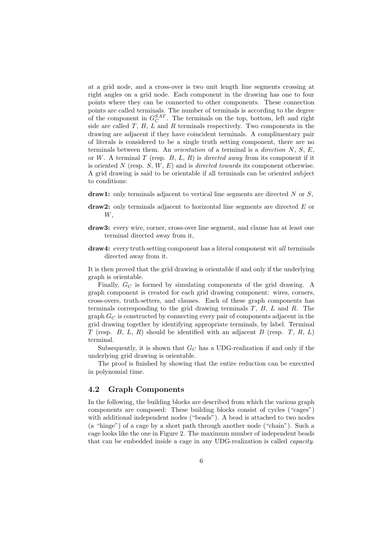at a grid node, and a cross-over is two unit length line segments crossing at right angles on a grid node. Each component in the drawing has one to four points where they can be connected to other components. These connection points are called terminals. The number of terminals is according to the degree of the component in  $G_C^{SAT}$ . The terminals on the top, bottom, left and right side are called  $T$ ,  $B$ ,  $L$  and  $R$  terminals respectively. Two components in the drawing are adjacent if they have coincident terminals. A complimentary pair of literals is considered to be a single truth setting component, there are no terminals between them. An *orientation* of a terminal is a *direction*  $N$ ,  $S$ ,  $E$ , or W. A terminal T (resp. B, L, R) is directed away from its component if it is oriented N (resp.  $S, W, E$ ) and is *directed towards* its component otherwise. A grid drawing is said to be orientable if all terminals can be oriented subject to conditions:

- draw1: only terminals adjacent to vertical line segments are directed  $N$  or  $S$ .
- draw2: only terminals adjacent to horizontal line segments are directed E or W,
- draw3: every wire, corner, cross-over line segment, and clause has at least one terminal directed away from it,
- draw4: every truth setting component has a literal component wit all terminals directed away from it.

It is then proved that the grid drawing is orientable if and only if the underlying graph is orientable.

Finally,  $G_C$  is formed by simulating components of the grid drawing. A graph component is created for each grid drawing component: wires, corners, cross-overs, truth-setters, and clauses. Each of these graph components has terminals corresponding to the grid drawing terminals  $T$ ,  $B$ ,  $L$  and  $R$ . The graph  $G_C$  is constructed by connecting every pair of components adjacent in the grid drawing together by identifying appropriate terminals, by label. Terminal T (resp. B, L, R) should be identified with an adjacent B (resp. T, R, L) terminal.

Subsequently, it is shown that  $G_C$  has a UDG-realization if and only if the underlying grid drawing is orientable.

The proof is finished by showing that the entire reduction can be executed in polynomial time.

### 4.2 Graph Components

In the following, the building blocks are described from which the various graph components are composed: These building blocks consist of cycles ("cages") with additional independent nodes ("beads"). A bead is attached to two nodes (a "hinge") of a cage by a short path through another node ("chain"). Such a cage looks like the one in Figure 2. The maximum number of independent beads that can be embedded inside a cage in any UDG-realization is called capacity.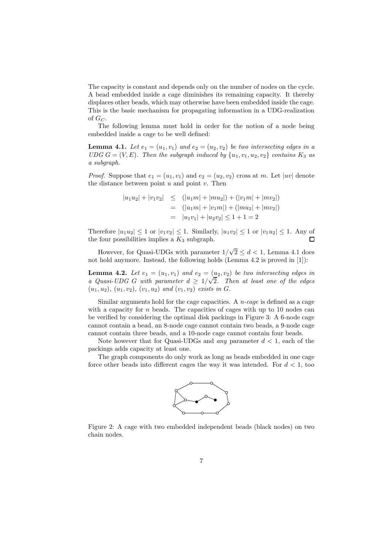The capacity is constant and depends only on the number of nodes on the cycle. A bead embedded inside a cage diminishes its remaining capacity. It thereby displaces other beads, which may otherwise have been embedded inside the cage. This is the basic mechanism for propagating information in a UDG-realization of  $G_C$ .

The following lemma must hold in order for the notion of a node being embedded inside a cage to be well defined:

**Lemma 4.1.** Let  $e_1 = (u_1, v_1)$  and  $e_2 = (u_2, v_2)$  be two intersecting edges in a UDG  $G = (V, E)$ . Then the subgraph induced by  $\{u_1, v_1, u_2, v_2\}$  contains  $K_3$  as a subgraph.

*Proof.* Suppose that  $e_1 = (u_1, v_1)$  and  $e_2 = (u_2, v_2)$  cross at m. Let  $|uv|$  denote the distance between point  $u$  and point  $v$ . Then

$$
|u_1u_2| + |v_1v_2| \le (|u_1m| + |mu_2|) + (|v_1m| + |mv_2|)
$$
  
=  $(|u_1m| + |v_1m|) + (|mu_2| + |mv_2|)$   
=  $|u_1v_1| + |u_2v_2| \le 1 + 1 = 2$ 

Therefore  $|u_1u_2| \leq 1$  or  $|v_1v_2| \leq 1$ . Similarly,  $|u_1v_2| \leq 1$  or  $|v_1u_2| \leq 1$ . Any of the four possibilities implies a  $K_2$  subgraph the four possibilities implies a  $K_3$  subgraph.

However, for Quasi-UDGs with parameter  $1/\sqrt{2} \leq d < 1$ , Lemma 4.1 does not hold anymore. Instead, the following holds (Lemma 4.2 is proved in [1]):

**Lemma 4.2.** Let  $e_1 = (u_1, v_1)$  and  $e_2 = (u_2, v_2)$  be two intersecting edges in a Quasi-UDG G with parameter  $d \geq 1/\sqrt{2}$ . Then at least one of the edges  $(u_1, u_2), (u_1, v_2), (v_1, u_2)$  and  $(v_1, v_2)$  exists in G.

Similar arguments hold for the cage capacities. A  $n$ -cage is defined as a cage with a capacity for  $n$  beads. The capacities of cages with up to 10 nodes can be verified by considering the optimal disk packings in Figure 3: A 6-node cage cannot contain a bead, an 8-node cage cannot contain two beads, a 9-node cage cannot contain three beads, and a 10-node cage cannot contain four beads.

Note however that for Quasi-UDGs and *any* parameter  $d < 1$ , each of the packings adds capacity at least one.

The graph components do only work as long as beads embedded in one cage force other beads into different cages the way it was intended. For  $d < 1$ , too



Figure 2: A cage with two embedded independent beads (black nodes) on two chain nodes.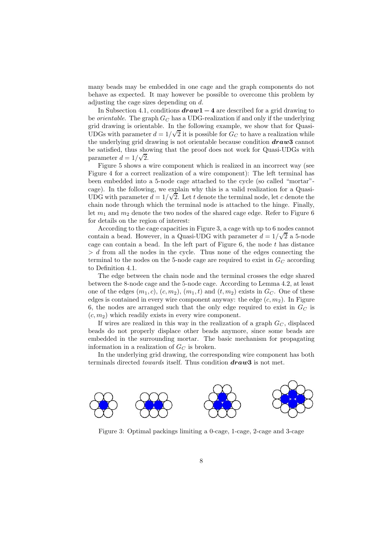many beads may be embedded in one cage and the graph components do not behave as expected. It may however be possible to overcome this problem by adjusting the cage sizes depending on d.

In Subsection 4.1, conditions  $draw1 - 4$  are described for a grid drawing to be *orientable*. The graph  $G_C$  has a UDG-realization if and only if the underlying grid drawing is orientable. In the following example, we show that for Quasi-UDGs with parameter  $d = 1/\sqrt{2}$  it is possible for  $G_C$  to have a realization while the underlying grid drawing is not orientable because condition  $draw3$  cannot be satisfied, thus showing that the proof does not work for Quasi-UDGs with parameter  $d = 1/\sqrt{2}$ .

Figure 5 shows a wire component which is realized in an incorrect way (see Figure 4 for a correct realization of a wire component): The left terminal has been embedded into a 5-node cage attached to the cycle (so called "mortar" cage). In the following, we explain why this is a valid realization for a Quasi-UDG with parameter  $d = 1/\sqrt{2}$ . Let t denote the terminal node, let c denote the chain node through which the terminal node is attached to the hinge. Finally, let  $m_1$  and  $m_2$  denote the two nodes of the shared cage edge. Refer to Figure 6 for details on the region of interest:

According to the cage capacities in Figure 3, a cage with up to 6 nodes cannot contain a bead. However, in a Quasi-UDG with parameter  $d = 1/\sqrt{2}$  a 5-node cage can contain a bead. In the left part of Figure 6, the node  $t$  has distance  $> d$  from all the nodes in the cycle. Thus none of the edges connecting the terminal to the nodes on the 5-node cage are required to exist in  $G_C$  according to Definition 4.1.

The edge between the chain node and the terminal crosses the edge shared between the 8-node cage and the 5-node cage. According to Lemma 4.2, at least one of the edges  $(m_1, c)$ ,  $(c, m_2)$ ,  $(m_1, t)$  and  $(t, m_2)$  exists in  $G_C$ . One of these edges is contained in every wire component anyway: the edge  $(c, m<sub>2</sub>)$ . In Figure 6, the nodes are arranged such that the only edge required to exist in  $G_C$  is  $(c, m<sub>2</sub>)$  which readily exists in every wire component.

If wires are realized in this way in the realization of a graph  $G_C$ , displaced beads do not properly displace other beads anymore, since some beads are embedded in the surrounding mortar. The basic mechanism for propagating information in a realization of  $G_C$  is broken.

In the underlying grid drawing, the corresponding wire component has both terminals directed *towards* itself. Thus condition  $draw3$  is not met.



Figure 3: Optimal packings limiting a 0-cage, 1-cage, 2-cage and 3-cage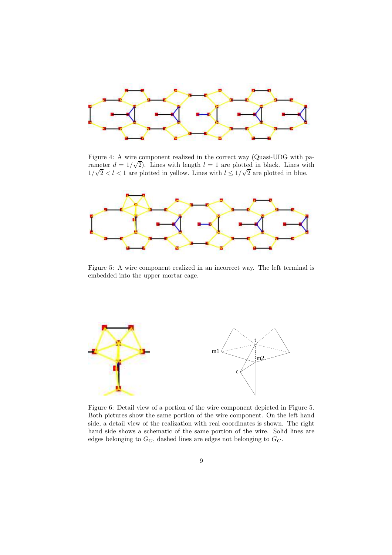

Figure 4: A wire component realized in the correct way (Quasi-UDG with parameter  $d = 1/\sqrt{2}$ . Lines with length  $l = 1$  are plotted in black. Lines with  $1/\sqrt{2} < l < 1$  are plotted in yellow. Lines with  $l \leq 1/\sqrt{2}$  are plotted in blue.



Figure 5: A wire component realized in an incorrect way. The left terminal is embedded into the upper mortar cage.



Figure 6: Detail view of a portion of the wire component depicted in Figure 5. Both pictures show the same portion of the wire component. On the left hand side, a detail view of the realization with real coordinates is shown. The right hand side shows a schematic of the same portion of the wire. Solid lines are edges belonging to  $G_C$ , dashed lines are edges not belonging to  $G_C$ .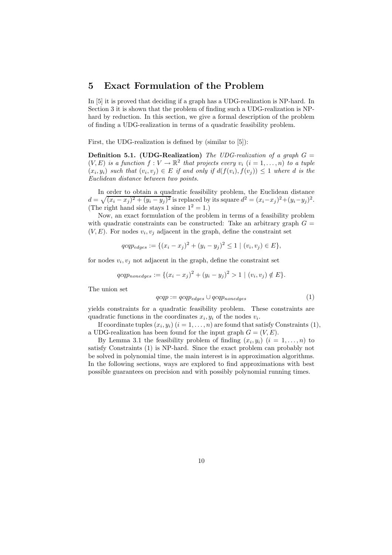### 5 Exact Formulation of the Problem

In [5] it is proved that deciding if a graph has a UDG-realization is NP-hard. In Section 3 it is shown that the problem of finding such a UDG-realization is NPhard by reduction. In this section, we give a formal description of the problem of finding a UDG-realization in terms of a quadratic feasibility problem.

First, the UDG-realization is defined by (similar to [5]):

**Definition 5.1.** (UDG-Realization) The UDG-realization of a graph  $G =$  $(V, E)$  is a function  $f: V \to \mathbb{R}^2$  that projects every  $v_i$   $(i = 1, ..., n)$  to a tuple  $(x_i, y_i)$  such that  $(v_i, v_j) \in E$  if and only if  $d(f(v_i), f(v_j)) \leq 1$  where d is the Euclidean distance between two points.

In order to obtain a quadratic feasibility problem, the Euclidean distance  $d = \sqrt{(x_i - x_j)^2 + (y_i - y_j)^2}$  is replaced by its square  $d^2 = (x_i - x_j)^2 + (y_i - y_j)^2$ . (The right hand side stays 1 since  $1^2 = 1$ .)

Now, an exact formulation of the problem in terms of a feasibility problem with quadratic constraints can be constructed: Take an arbitrary graph  $G =$  $(V, E)$ . For nodes  $v_i, v_j$  adjacent in the graph, define the constraint set

$$
qcqp_{edges} := \{(x_i - x_j)^2 + (y_i - y_j)^2 \le 1 \mid (v_i, v_j) \in E\},\
$$

for nodes  $v_i, v_j$  not adjacent in the graph, define the constraint set

$$
qqp_{nonedges} := \{(x_i - x_j)^2 + (y_i - y_j)^2 > 1 \mid (v_i, v_j) \notin E\}.
$$

The union set

$$
qcqp := qcqp_{edges} \cup qcqp_{nonedges} \tag{1}
$$

yields constraints for a quadratic feasibility problem. These constraints are quadratic functions in the coordinates  $x_i, y_i$  of the nodes  $v_i$ .

If coordinate tuples  $(x_i, y_i)$   $(i = 1, \ldots, n)$  are found that satisfy Constraints  $(1)$ , a UDG-realization has been found for the input graph  $G = (V, E)$ .

By Lemma 3.1 the feasibility problem of finding  $(x_i, y_i)$   $(i = 1, \ldots, n)$  to satisfy Constraints (1) is NP-hard. Since the exact problem can probably not be solved in polynomial time, the main interest is in approximation algorithms. In the following sections, ways are explored to find approximations with best possible guarantees on precision and with possibly polynomial running times.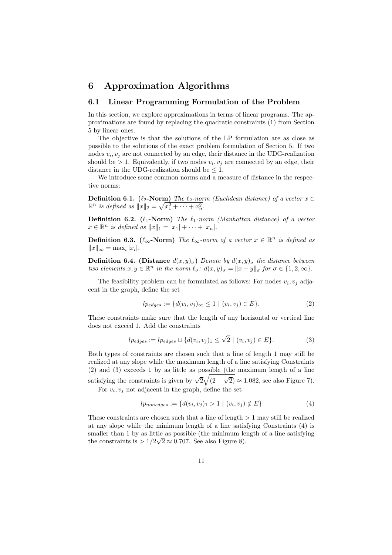### 6 Approximation Algorithms

#### 6.1 Linear Programming Formulation of the Problem

In this section, we explore approximations in terms of linear programs. The approximations are found by replacing the quadratic constraints (1) from Section 5 by linear ones.

The objective is that the solutions of the LP formulation are as close as possible to the solutions of the exact problem formulation of Section 5. If two nodes  $v_i, v_j$  are not connected by an edge, their distance in the UDG-realization should be  $> 1$ . Equivalently, if two nodes  $v_i, v_j$  are connected by an edge, their distance in the UDG-realization should be  $\leq 1$ .

We introduce some common norms and a measure of distance in the respective norms:

**Definition 6.1.**  $(\ell_2\text{-}\text{Norm})$  The  $\ell_2\text{-}norm$  (Euclidean distance) of a vector  $x \in \mathbb{R}^n$  is defined as  $||x||_2 = \sqrt{x_1^2 + \cdots + x_n^2}$ .

**Definition 6.2.** ( $\ell_1$ -Norm) The  $\ell_1$ -norm (Manhattan distance) of a vector  $x \in \mathbb{R}^n$  is defined as  $||x||_1 = |x_1| + \cdots + |x_n|$ .

**Definition 6.3.**  $(\ell_{\infty}\text{-}\mathrm{Norm})$  The  $\ell_{\infty}\text{-}norm$  of a vector  $x \in \mathbb{R}^n$  is defined as  $||x||_{\infty} = \max_i |x_i|.$ 

**Definition 6.4.** (Distance  $d(x, y)_{\sigma}$ ) Denote by  $d(x, y)_{\sigma}$  the distance between two elements  $x, y \in \mathbb{R}^n$  in the norm  $\ell_{\sigma}: d(x, y)_{\sigma} = ||x - y||_{\sigma}$  for  $\sigma \in \{1, 2, \infty\}.$ 

The feasibility problem can be formulated as follows: For nodes  $v_i, v_j$  adjacent in the graph, define the set

$$
lp_{edges} := \{d(v_i, v_j)_{\infty} \le 1 \mid (v_i, v_j) \in E\}.
$$
 (2)

These constraints make sure that the length of any horizontal or vertical line does not exceed 1. Add the constraints

$$
lp_{edges} := lp_{edges} \cup \{d(v_i, v_j)_1 \le \sqrt{2} \mid (v_i, v_j) \in E\}.
$$
 (3)

Both types of constraints are chosen such that a line of length 1 may still be realized at any slope while the maximum length of a line satisfying Constraints (2) and (3) exceeds 1 by as little as possible (the maximum length of a line satisfying the constraints is given by  $\sqrt{2}\sqrt{(2-\sqrt{2})} \approx 1.082$ , see also Figure 7). For  $v_i, v_j$  not adjacent in the graph, define the set

$$
lp_{nonedges} := \{d(v_i, v_j)_1 > 1 \mid (v_i, v_j) \notin E\}
$$
 (4)

These constraints are chosen such that a line of length  $> 1$  may still be realized at any slope while the minimum length of a line satisfying Constraints (4) is smaller than 1 by as little as possible (the minimum length of a line satisfying the constraints is  $> 1/2\sqrt{2} \approx 0.707$ . See also Figure 8).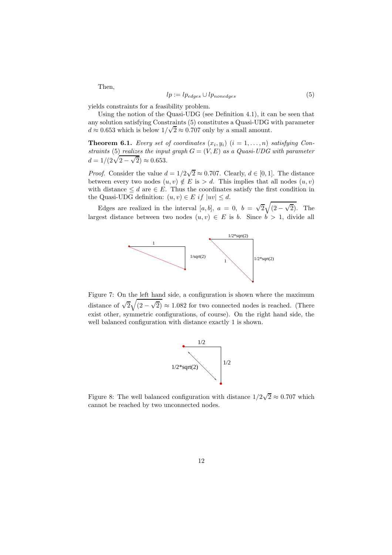Then,

$$
lp := lp_{edges} \cup lp_{nonedges} \tag{5}
$$

yields constraints for a feasibility problem.

Using the notion of the Quasi-UDG (see Definition 4.1), it can be seen that any solution satisfying Constraints (5) constitutes a Quasi-UDG with parameter  $d \approx 0.653$  which is below  $1/\sqrt{2} \approx 0.707$  only by a small amount.

**Theorem 6.1.** Every set of coordinates  $(x_i, y_i)$   $(i = 1, \ldots, n)$  satisfying Constraints (5) realizes the input graph  $G = (V, E)$  as a Quasi-UDG with parameter  $d = 1/(2\sqrt{2-\sqrt{2}}) \approx 0.653.$ 

*Proof.* Consider the value  $d = 1/2\sqrt{2} \approx 0.707$ . Clearly,  $d \in [0, 1]$ . The distance between every two nodes  $(u, v) \notin E$  is  $> d$ . This implies that all nodes  $(u, v)$ with distance  $\leq d$  are  $\in E$ . Thus the coordinates satisfy the first condition in the Quasi-UDG definition:  $(u, v) \in E$  if  $|uv| \leq d$ .

Edges are realized in the interval [a, b],  $a = 0$ ,  $b = \sqrt{2}\sqrt{(2-\sqrt{2})}$ . The largest distance between two nodes  $(u, v) \in E$  is b. Since  $b > 1$ , divide all



Figure 7: On the left hand side, a configuration is shown where the maximum distance of  $\sqrt{2}\sqrt{(2-\sqrt{2})} \approx 1.082$  for two connected nodes is reached. (There exist other, symmetric configurations, of course). On the right hand side, the well balanced configuration with distance exactly 1 is shown.



Figure 8: The well balanced configuration with distance  $1/2\sqrt{2} \approx 0.707$  which cannot be reached by two unconnected nodes.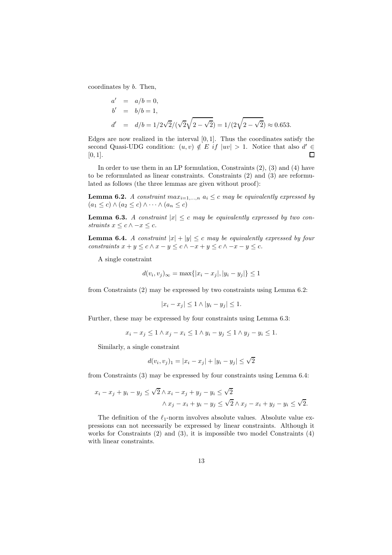coordinates by b. Then,

$$
a' = a/b = 0,
$$
  
\n
$$
b' = b/b = 1,
$$
  
\n
$$
d' = d/b = 1/2\sqrt{2}/(\sqrt{2}\sqrt{2} - \sqrt{2}) = 1/(2\sqrt{2} - \sqrt{2}) \approx 0.653.
$$

Edges are now realized in the interval  $[0, 1]$ . Thus the coordinates satisfy the second Quasi-UDG condition:  $(u, v) \notin E$  if  $|uv| > 1$ . Notice that also  $d' \in$  $[0, 1]$ .

In order to use them in an LP formulation, Constraints (2), (3) and (4) have to be reformulated as linear constraints. Constraints (2) and (3) are reformulated as follows (the three lemmas are given without proof):

**Lemma 6.2.** A constraint max<sub>i=1,...,n</sub>  $a_i \leq c$  may be equivalently expressed by  $(a_1 \leq c) \wedge (a_2 \leq c) \wedge \cdots \wedge (a_n \leq c)$ 

**Lemma 6.3.** A constraint  $|x| \leq c$  may be equivalently expressed by two constraints  $x \leq c \wedge -x \leq c$ .

**Lemma 6.4.** A constraint  $|x| + |y| \leq c$  may be equivalently expressed by four constraints  $x + y \leq c \wedge x - y \leq c \wedge -x + y \leq c \wedge -x - y \leq c$ .

A single constraint

$$
d(v_i, v_j)_{\infty} = \max\{|x_i - x_j|, |y_i - y_j|\} \le 1
$$

from Constraints (2) may be expressed by two constraints using Lemma 6.2:

$$
|x_i - x_j| \le 1 \wedge |y_i - y_j| \le 1.
$$

Further, these may be expressed by four constraints using Lemma 6.3:

$$
x_i - x_j \leq 1 \wedge x_j - x_i \leq 1 \wedge y_i - y_j \leq 1 \wedge y_j - y_i \leq 1.
$$

Similarly, a single constraint

$$
d(v_i, v_j)_1 = |x_i - x_j| + |y_i - y_j| \le \sqrt{2}
$$

from Constraints (3) may be expressed by four constraints using Lemma 6.4:

$$
x_i - x_j + y_i - y_j \le \sqrt{2} \wedge x_i - x_j + y_j - y_i \le \sqrt{2}
$$
  

$$
\wedge x_j - x_i + y_i - y_j \le \sqrt{2} \wedge x_j - x_i + y_j - y_i \le \sqrt{2}.
$$

The definition of the  $\ell_1$ -norm involves absolute values. Absolute value expressions can not necessarily be expressed by linear constraints. Although it works for Constraints (2) and (3), it is impossible two model Constraints (4) with linear constraints.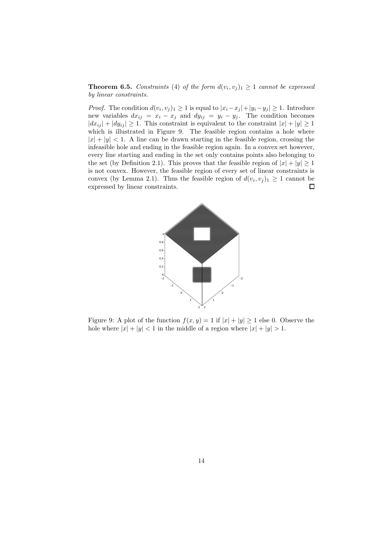**Theorem 6.5.** Constraints (4) of the form  $d(v_i, v_j)_1 \geq 1$  cannot be expressed by linear constraints.

*Proof.* The condition  $d(v_i, v_j)_1 \geq 1$  is equal to  $|x_i - x_j| + |y_i - y_j| \geq 1$ . Introduce new variables  $dx_{ij} = x_i - x_j$  and  $dy_{ij} = y_i - y_j$ . The condition becomes  $|dx_{ij}| + |dy_{ij}| \ge 1$ . This constraint is equivalent to the constraint  $|x| + |y| \ge 1$ which is illustrated in Figure 9. The feasible region contains a hole where  $|x| + |y| < 1$ . A line can be drawn starting in the feasible region, crossing the infeasible hole and ending in the feasible region again. In a convex set however, every line starting and ending in the set only contains points also belonging to the set (by Definition 2.1). This proves that the feasible region of  $|x| + |y| \ge 1$ is not convex. However, the feasible region of every set of linear constraints is convex (by Lemma 2.1). Thus the feasible region of  $d(v_i, v_j)_1 \geq 1$  cannot be expressed by linear constraints.



Figure 9: A plot of the function  $f(x, y) = 1$  if  $|x| + |y| \ge 1$  else 0. Observe the hole where  $|x| + |y| < 1$  in the middle of a region where  $|x| + |y| > 1$ .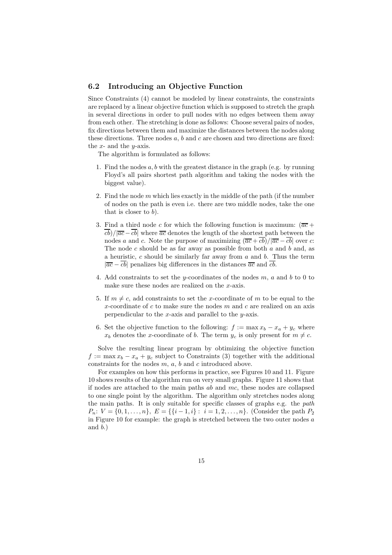#### 6.2 Introducing an Objective Function

Since Constraints (4) cannot be modeled by linear constraints, the constraints are replaced by a linear objective function which is supposed to stretch the graph in several directions in order to pull nodes with no edges between them away from each other. The stretching is done as follows: Choose several pairs of nodes, fix directions between them and maximize the distances between the nodes along these directions. Three nodes  $a, b$  and  $c$  are chosen and two directions are fixed: the  $x$ - and the  $y$ -axis.

The algorithm is formulated as follows:

- 1. Find the nodes  $a, b$  with the greatest distance in the graph (e.g. by running Floyd's all pairs shortest path algorithm and taking the nodes with the biggest value).
- 2. Find the node  $m$  which lies exactly in the middle of the path (if the number of nodes on the path is even i.e. there are two middle nodes, take the one that is closer to  $b$ ).
- 3. Find a third node c for which the following function is maximum:  $(\overline{ac} +$  $\overline{cb}/\overline{ac}-\overline{cb}$  where  $\overline{ac}$  denotes the length of the shortest path between the nodes a and c. Note the purpose of maximizing  $(\overline{ac} + \overline{cb})/|\overline{ac} - \overline{cb}|$  over c: The node c should be as far away as possible from both  $a$  and  $b$  and, as a heuristic,  $c$  should be similarly far away from  $a$  and  $b$ . Thus the term  $|\overline{ac} - \overline{cb}|$  penalizes big differences in the distances  $\overline{ac}$  and  $\overline{cb}$ .
- 4. Add constraints to set the y-coordinates of the nodes  $m$ ,  $a$  and  $b$  to 0 to make sure these nodes are realized on the x-axis.
- 5. If  $m \neq c$ , add constraints to set the x-coordinate of m to be equal to the x-coordinate of  $c$  to make sure the nodes  $m$  and  $c$  are realized on an axis perpendicular to the x-axis and parallel to the  $y$ -axis.
- 6. Set the objective function to the following:  $f := \max x_b x_a + y_c$  where  $x_b$  denotes the x-coordinate of b. The term  $y_c$  is only present for  $m \neq c$ .

Solve the resulting linear program by obtimizing the objective function  $f := \max x_b - x_a + y_c$  subject to Constraints (3) together with the additional constraints for the nodes  $m, a, b$  and  $c$  introduced above.

For examples on how this performs in practice, see Figures 10 and 11. Figure 10 shows results of the algorithm run on very small graphs. Figure 11 shows that if nodes are attached to the main paths ab and mc, these nodes are collapsed to one single point by the algorithm. The algorithm only stretches nodes along the main paths. It is only suitable for specific classes of graphs e.g. the path  $P_n: V = \{0, 1, \ldots, n\}, E = \{\{i-1, i\} : i = 1, 2, \ldots, n\}.$  (Consider the path  $P_2$ ) in Figure 10 for example: the graph is stretched between the two outer nodes  $a$ and  $(b.)$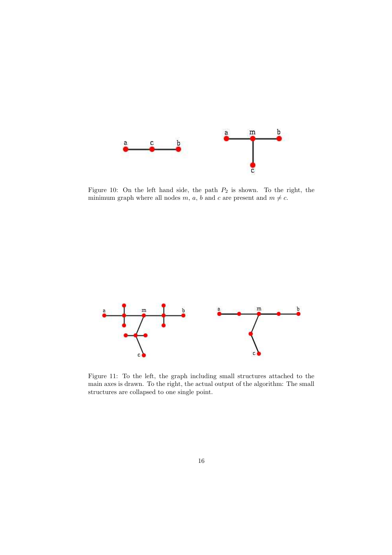

Figure 10: On the left hand side, the path  $P_2$  is shown. To the right, the minimum graph where all nodes  $m, a, b$  and  $c$  are present and  $m \neq c$ .



Figure 11: To the left, the graph including small structures attached to the main axes is drawn. To the right, the actual output of the algorithm: The small structures are collapsed to one single point.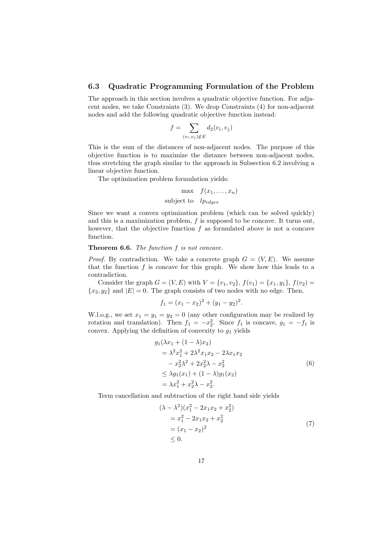#### 6.3 Quadratic Programming Formulation of the Problem

The approach in this section involves a quadratic objective function. For adjacent nodes, we take Constraints (3). We drop Constraints (4) for non-adjacent nodes and add the following quadratic objective function instead:

$$
f = \sum_{(v_i, v_j) \notin E} d_2(v_i, v_j)
$$

This is the sum of the distances of non-adjacent nodes. The purpose of this objective function is to maximize the distance between non-adjacent nodes, thus stretching the graph similar to the approach in Subsection 6.2 involving a linear objective function.

The optimization problem formulation yields:

$$
\max \quad f(x_1, \dots, x_n)
$$
  
subject to 
$$
lp_{edges}
$$

Since we want a convex optimization problem (which can be solved quickly) and this is a maximization problem,  $f$  is supposed to be concave. It turns out, however, that the objective function  $f$  as formulated above is not a concave function.

#### **Theorem 6.6.** The function  $f$  is not concave.

*Proof.* By contradiction. We take a concrete graph  $G = (V, E)$ . We assume that the function  $f$  is concave for this graph. We show how this leads to a contradiction.

Consider the graph  $G = (V, E)$  with  $V = \{v_1, v_2\}, f(v_1) = \{x_1, y_1\}, f(v_2) =$  ${x_2,y_2}$  and  $|E|=0$ . The graph consists of two nodes with no edge. Then,

$$
f_1 = (x_1 - x_2)^2 + (y_1 - y_2)^2.
$$

W.l.o.g., we set  $x_1 = y_1 = y_2 = 0$  (any other configuration may be realized by rotation and translation). Then  $f_1 = -x_2^2$ . Since  $f_1$  is concave,  $g_1 = -f_1$  is convex. Applying the definition of convexity to  $g_1$  yields

$$
g_1(\lambda x_1 + (1 - \lambda)x_2)
$$
  
=  $\lambda^2 x_1^2 + 2\lambda^2 x_1 x_2 - 2\lambda x_1 x_2$   
 $- x_2^2 \lambda^2 + 2x_2^2 \lambda - x_2^2$   
 $\leq \lambda g_1(x_1) + (1 - \lambda)g_1(x_2)$   
=  $\lambda x_1^2 + x_2^2 \lambda - x_2^2$ . (6)

Term cancellation and subtraction of the right hand side yields

$$
(\lambda - \lambda^2)(x_1^2 - 2x_1x_2 + x_2^2)
$$
  
=  $x_1^2 - 2x_1x_2 + x_2^2$   
=  $(x_1 - x_2)^2$   
 $\leq 0.$  (7)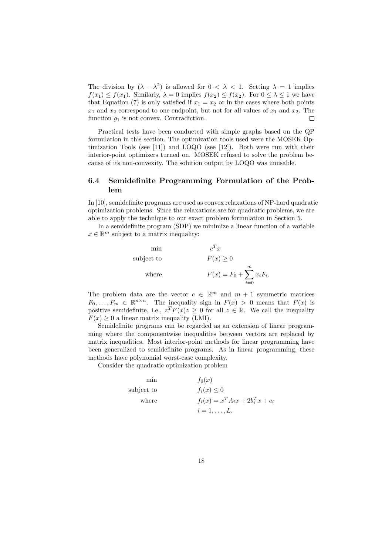The division by  $(\lambda - \lambda^2)$  is allowed for  $0 < \lambda < 1$ . Setting  $\lambda = 1$  implies  $f(x_1) \le f(x_1)$ . Similarly,  $\lambda = 0$  implies  $f(x_2) \le f(x_2)$ . For  $0 \le \lambda \le 1$  we have that Equation (7) is only satisfied if  $x_1 = x_2$  or in the cases where both points  $x_1$  and  $x_2$  correspond to one endpoint, but not for all values of  $x_1$  and  $x_2$ . The function  $g_1$  is not convex. Contradiction.  $\Box$ 

Practical tests have been conducted with simple graphs based on the QP formulation in this section. The optimization tools used were the MOSEK Optimization Tools (see [11]) and LOQO (see [12]). Both were run with their interior-point optimizers turned on. MOSEK refused to solve the problem because of its non-convexity. The solution output by LOQO was unusable.

### 6.4 Semidefinite Programming Formulation of the Problem

In [10], semidefinite programs are used as convex relaxations of NP-hard quadratic optimization problems. Since the relaxations are for quadratic problems, we are able to apply the technique to our exact problem formulation in Section 5.

In a semidefinite program (SDP) we minimize a linear function of a variable  $x \in \mathbb{R}^m$  subject to a matrix inequality:

min 
$$
c^T x
$$
  
\nsubject to  $F(x) \ge 0$   
\nwhere  $F(x) = F_0 + \sum_{i=0}^{m} x_i F_i$ .

The problem data are the vector  $c \in \mathbb{R}^m$  and  $m + 1$  symmetric matrices  $F_0, \ldots, F_m \in \mathbb{R}^{n \times n}$ . The inequality sign in  $F(x) > 0$  means that  $F(x)$  is positive semidefinite, i.e.,  $z^T F(x) z \geq 0$  for all  $z \in \mathbb{R}$ . We call the inequality  $F(x) \geq 0$  a linear matrix inequality (LMI).

Semidefinite programs can be regarded as an extension of linear programming where the componentwise inequalities between vectors are replaced by matrix inequalities. Most interior-point methods for linear programming have been generalized to semidefinite programs. As in linear programming, these methods have polynomial worst-case complexity.

Consider the quadratic optimization problem

min  $f_0(x)$ subject to  $f_i(x) \leq 0$ where  $f_i(x) = x^T A_i x + 2b_i^T x + c_i$  $i=1,\ldots,L$ .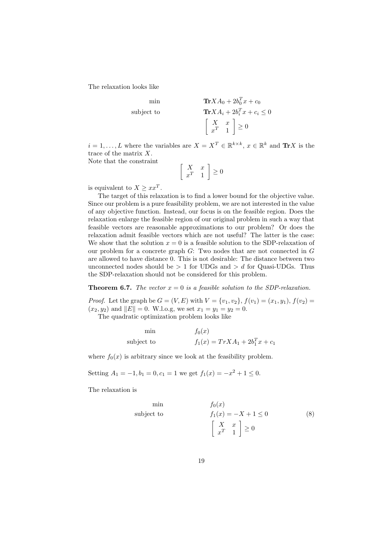The relaxation looks like

$$
\begin{aligned}\n\min & \text{Tr} X A_0 + 2b_0^T x + c_0 \\
\text{subject to} & \text{Tr} X A_i + 2b_i^T x + c_i \le 0 \\
& \begin{bmatrix} X & x \\ x^T & 1 \end{bmatrix} \ge 0\n\end{aligned}
$$

 $i = 1, \ldots, L$  where the variables are  $X = X^T \in \mathbb{R}^{k \times k}$ ,  $x \in \mathbb{R}^k$  and  $\text{Tr} X$  is the trace of the matrix X.

Note that the constraint

$$
\left[\begin{array}{cc} X & x \\ x^T & 1 \end{array}\right] \ge 0
$$

is equivalent to  $X \geq xx^T$ .

The target of this relaxation is to find a lower bound for the objective value. Since our problem is a pure feasibility problem, we are not interested in the value of any objective function. Instead, our focus is on the feasible region. Does the relaxation enlarge the feasible region of our original problem in such a way that feasible vectors are reasonable approximations to our problem? Or does the relaxation admit feasible vectors which are not useful? The latter is the case: We show that the solution  $x = 0$  is a feasible solution to the SDP-relaxation of our problem for a concrete graph G: Two nodes that are not connected in G are allowed to have distance 0. This is not desirable: The distance between two unconnected nodes should be  $> 1$  for UDGs and  $> d$  for Quasi-UDGs. Thus the SDP-relaxation should not be considered for this problem.

**Theorem 6.7.** The vector  $x = 0$  is a feasible solution to the SDP-relaxation.

*Proof.* Let the graph be  $G = (V, E)$  with  $V = \{v_1, v_2\}$ ,  $f(v_1) = (x_1, y_1)$ ,  $f(v_2) =$  $(x_2, y_2)$  and  $||E|| = 0$ . W.l.o.g, we set  $x_1 = y_1 = y_2 = 0$ .

The quadratic optimization problem looks like

| mın        | $f_0(x)$                             |
|------------|--------------------------------------|
| subject to | $f_1(x) = Tr X A_1 + 2b_1^T x + c_1$ |

where  $f_0(x)$  is arbitrary since we look at the feasibility problem.

Setting  $A_1 = -1, b_1 = 0, c_1 = 1$  we get  $f_1(x) = -x^2 + 1 \le 0$ .

The relaxation is

$$
\begin{array}{ll}\n\text{min} & f_0(x) \\
\text{subject to} & f_1(x) = -X + 1 \le 0 \\
& \begin{bmatrix} X & x \\ x^T & 1 \end{bmatrix} \ge 0\n\end{array}\n\tag{8}
$$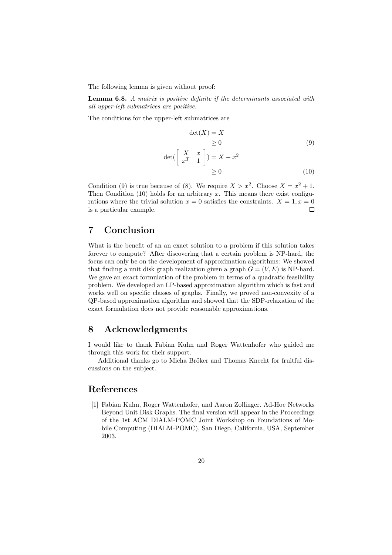The following lemma is given without proof:

Lemma 6.8. A matrix is positive definite if the determinants associated with all upper-left submatrices are positive.

The conditions for the upper-left submatrices are

$$
\det(X) = X
$$
  
\n
$$
\geq 0
$$
 (9)

$$
\det\begin{pmatrix} X & x \\ x^T & 1 \end{pmatrix} = X - x^2
$$
  
\n
$$
\geq 0
$$
 (10)

Condition (9) is true because of (8). We require  $X > x^2$ . Choose  $X = x^2 + 1$ . Then Condition  $(10)$  holds for an arbitrary x. This means there exist configurations where the trivial solution  $x = 0$  satisfies the constraints.  $X = 1, x = 0$ is a particular example.  $\Box$ 

# 7 Conclusion

What is the benefit of an an exact solution to a problem if this solution takes forever to compute? After discovering that a certain problem is NP-hard, the focus can only be on the development of approximation algorithms: We showed that finding a unit disk graph realization given a graph  $G = (V, E)$  is NP-hard. We gave an exact formulation of the problem in terms of a quadratic feasibility problem. We developed an LP-based approximation algorithm which is fast and works well on specific classes of graphs. Finally, we proved non-convexity of a QP-based approximation algorithm and showed that the SDP-relaxation of the exact formulation does not provide reasonable approximations.

## 8 Acknowledgments

I would like to thank Fabian Kuhn and Roger Wattenhofer who guided me through this work for their support.

Additional thanks go to Micha Bröker and Thomas Knecht for fruitful discussions on the subject.

### References

[1] Fabian Kuhn, Roger Wattenhofer, and Aaron Zollinger. Ad-Hoc Networks Beyond Unit Disk Graphs. The final version will appear in the Proceedings of the 1st ACM DIALM-POMC Joint Workshop on Foundations of Mobile Computing (DIALM-POMC), San Diego, California, USA, September 2003.